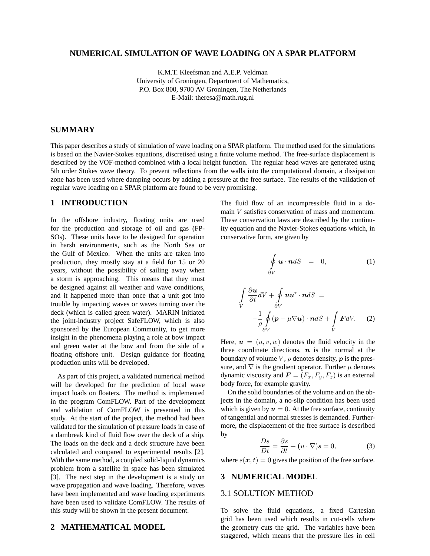#### **NUMERICAL SIMULATION OF WAVE LOADING ON A SPAR PLATFORM**

K.M.T. Kleefsman and A.E.P. Veldman University of Groningen, Department of Mathematics, P.O. Box 800, 9700 AV Groningen, The Netherlands E-Mail: theresa@math.rug.nl

#### **SUMMARY**

This paper describes a study of simulation of wave loading on a SPAR platform. The method used for the simulations is based on the Navier-Stokes equations, discretised using a finite volume method. The free-surface displacement is described by the VOF-method combined with a local height function. The regular head waves are generated using 5th order Stokes wave theory. To prevent reflections from the walls into the computational domain, a dissipation zone has been used where damping occurs by adding a pressure at the free surface. The results of the validation of regular wave loading on a SPAR platform are found to be very promising.

# **1 INTRODUCTION**

In the offshore industry, floating units are used for the production and storage of oil and gas (FP-SOs). These units have to be designed for operation in harsh environments, such as the North Sea or the Gulf of Mexico. When the units are taken into production, they mostly stay at a field for 15 or 20 years, without the possibility of sailing away when a storm is approaching. This means that they must be designed against all weather and wave conditions, and it happened more than once that a unit got into trouble by impacting waves or waves turning over the deck (which is called green water). MARIN initiated the joint-industry project SafeFLOW, which is also sponsored by the European Community, to get more insight in the phenomena playing a role at bow impact and green water at the bow and from the side of a floating offshore unit. Design guidance for floating production units will be developed.

As part of this project, a validated numerical method will be developed for the prediction of local wave impact loads on floaters. The method is implemented in the program ComFLOW. Part of the development and validation of ComFLOW is presented in this study. At the start of the project, the method had been validated for the simulation of pressure loads in case of a dambreak kind of fluid flow over the deck of a ship. The loads on the deck and a deck structure have been calculated and compared to experimental results [2]. With the same method, a coupled solid-liquid dynamics problem from a satellite in space has been simulated [3]. The next step in the development is a study on wave propagation and wave loading. Therefore, waves have been implemented and wave loading experiments have been used to validate ComFLOW. The results of this study will be shown in the present document.

## **2 MATHEMATICAL MODEL**

The fluid flow of an incompressible fluid in a domain V satisfies conservation of mass and momentum. These conservation laws are described by the continuity equation and the Navier-Stokes equations which, in conservative form, are given by

$$
\oint_{\partial V} \mathbf{u} \cdot \mathbf{n} dS = 0, \tag{1}
$$

$$
\int_{V} \frac{\partial \boldsymbol{u}}{\partial t} dV + \oint_{\partial V} \boldsymbol{u} \boldsymbol{u}^{T} \cdot \boldsymbol{n} dS =
$$
\n
$$
-\frac{1}{\rho} \oint_{\partial V} (\boldsymbol{p} - \mu \nabla \boldsymbol{u}) \cdot \boldsymbol{n} dS + \int_{V} \boldsymbol{F} dV. \qquad (2)
$$

Here,  $u = (u, v, w)$  denotes the fluid velocity in the three coordinate directions,  $n$  is the normal at the boundary of volume  $V$ ,  $\rho$  denotes density,  $p$  is the pressure, and  $\nabla$  is the gradient operator. Further  $\mu$  denotes dynamic viscosity and  $\mathbf{F} = (F_x, F_y, F_z)$  is an external body force, for example gravity.

On the solid boundaries of the volume and on the objects in the domain, a no-slip condition has been used which is given by  $u = 0$ . At the free surface, continuity of tangential and normal stresses is demanded. Furthermore, the displacement of the free surface is described by

$$
\frac{Ds}{Dt} = \frac{\partial s}{\partial t} + (u \cdot \nabla)s = 0,
$$
 (3)

where  $s(x, t) = 0$  gives the position of the free surface.

#### **3 NUMERICAL MODEL**

#### 3.1 SOLUTION METHOD

To solve the fluid equations, a fixed Cartesian grid has been used which results in cut-cells where the geometry cuts the grid. The variables have been staggered, which means that the pressure lies in cell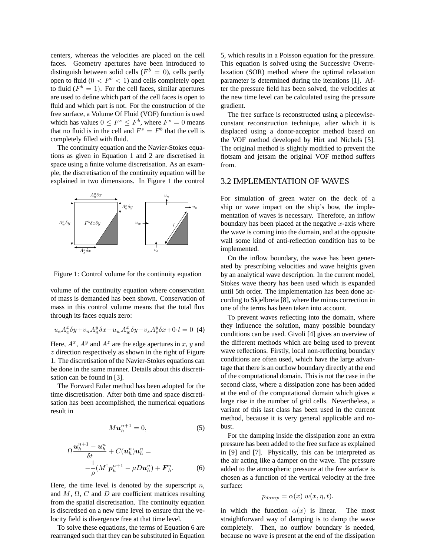centers, whereas the velocities are placed on the cell faces. Geometry apertures have been introduced to distinguish between solid cells ( $F<sup>b</sup> = 0$ ), cells partly open to fluid  $(0 < F<sup>b</sup> < 1)$  and cells completely open to fluid  $(F^b = 1)$ . For the cell faces, similar apertures are used to define which part of the cell faces is open to fluid and which part is not. For the construction of the free surface, a Volume Of Fluid (VOF) function is used which has values  $0 \leq F^s \leq F^b$ , where  $F^s = 0$  means that no fluid is in the cell and  $F^s = F^b$  that the cell is completely filled with fluid.

The continuity equation and the Navier-Stokes equations as given in Equation 1 and 2 are discretised in space using a finite volume discretisation. As an example, the discretisation of the continuity equation will be explained in two dimensions. In Figure 1 the control



Figure 1: Control volume for the continuity equation

volume of the continuity equation where conservation of mass is demanded has been shown. Conservation of mass in this control volume means that the total flux through its faces equals zero:

$$
u_e A_e^x \delta y + v_n A_n^y \delta x - u_w A_w^x \delta y - v_s A_s^y \delta x + 0 \cdot l = 0
$$
 (4)

Here,  $A^x$ ,  $A^y$  and  $A^z$  are the edge apertures in x, y and  $z$  direction respectively as shown in the right of Figure 1. The discretisation of the Navier-Stokes equations can be done in the same manner. Details about this discretisation can be found in [3].

The Forward Euler method has been adopted for the time discretisation. After both time and space discretisation has been accomplished, the numerical equations result in

$$
M u_h^{n+1} = 0,\t\t(5)
$$

$$
\Omega \frac{\boldsymbol{u}_h^{n+1} - \boldsymbol{u}_h^n}{\delta t} + C(\boldsymbol{u}_h^n) \boldsymbol{u}_h^n =
$$
  

$$
-\frac{1}{\rho} (M^{\mathrm{T}} \boldsymbol{p}_h^{n+1} - \mu D \boldsymbol{u}_h^n) + \boldsymbol{F}_h^n. \tag{6}
$$

Here, the time level is denoted by the superscript  $n$ , and  $M$ ,  $\Omega$ ,  $C$  and  $D$  are coefficient matrices resulting from the spatial discretisation. The continuity equation is discretised on a new time level to ensure that the velocity field is divergence free at that time level.

To solve these equations, the terms of Equation 6 are rearranged such that they can be substituted in Equation

5, which results in a Poisson equation for the pressure. This equation is solved using the Successive Overrelaxation (SOR) method where the optimal relaxation parameter is determined during the iterations [1]. After the pressure field has been solved, the velocities at the new time level can be calculated using the pressure gradient.

The free surface is reconstructed using a piecewiseconstant reconstruction technique, after which it is displaced using a donor-acceptor method based on the VOF method developed by Hirt and Nichols [5]. The original method is slightly modified to prevent the flotsam and jetsam the original VOF method suffers from.

#### 3.2 IMPLEMENTATION OF WAVES

For simulation of green water on the deck of a ship or wave impact on the ship's bow, the implementation of waves is necessary. Therefore, an inflow boundary has been placed at the negative  $x$ -axis where the wave is coming into the domain, and at the opposite wall some kind of anti-reflection condition has to be implemented.

On the inflow boundary, the wave has been generated by prescribing velocities and wave heights given by an analytical wave description. In the current model, Stokes wave theory has been used which is expanded until 5th order. The implementation has been done according to Skjelbreia [8], where the minus correction in one of the terms has been taken into account.

To prevent waves reflecting into the domain, where they influence the solution, many possible boundary conditions can be used. Givoli [4] gives an overview of the different methods which are being used to prevent wave reflections. Firstly, local non-reflecting boundary conditions are often used, which have the large advantage that there is an outflow boundary directly at the end of the computational domain. This is not the case in the second class, where a dissipation zone has been added at the end of the computational domain which gives a large rise in the number of grid cells. Nevertheless, a variant of this last class has been used in the current method, because it is very general applicable and robust.

For the damping inside the dissipation zone an extra pressure has been added to the free surface as explained in [9] and [7]. Physically, this can be interpreted as the air acting like a damper on the wave. The pressure added to the atmospheric pressure at the free surface is chosen as a function of the vertical velocity at the free surface:

$$
p_{damp} = \alpha(x) w(x, \eta, t).
$$

in which the function  $\alpha(x)$  is linear. The most straightforward way of damping is to damp the wave completely. Then, no outflow boundary is needed, because no wave is present at the end of the dissipation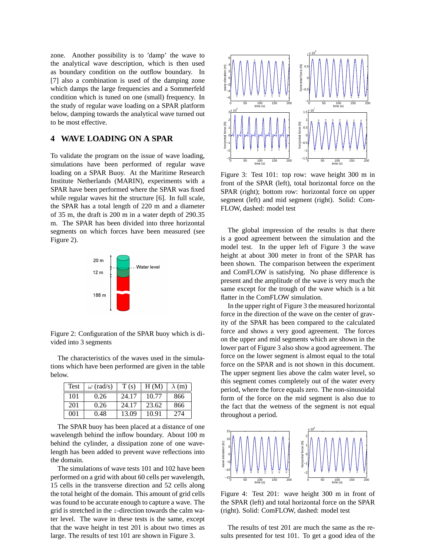zone. Another possibility is to 'damp' the wave to the analytical wave description, which is then used as boundary condition on the outflow boundary. In [7] also a combination is used of the damping zone which damps the large frequencies and a Sommerfeld condition which is tuned on one (small) frequency. In the study of regular wave loading on a SPAR platform below, damping towards the analytical wave turned out to be most effective.

# **4 WAVE LOADING ON A SPAR**

To validate the program on the issue of wave loading, simulations have been performed of regular wave loading on a SPAR Buoy. At the Maritime Research Institute Netherlands (MARIN), experiments with a SPAR have been performed where the SPAR was fixed while regular waves hit the structure [6]. In full scale, the SPAR has a total length of 220 m and a diameter of 35 m, the draft is 200 m in a water depth of 290.35 m. The SPAR has been divided into three horizontal segments on which forces have been measured (see Figure 2). the study of regular wave loading on a SPAR plats of the SPAR plats of the SPAR contains and the results of the results of the results of the SPAR contains and the shown in Figure 3. To contain the shown in Figure 3. To t



Figure 2: Configuration of the SPAR buoy which is divided into 3 segments

The characteristics of the waves used in the simulations which have been performed are given in the table below.

| <b>Test</b> | $\omega$ (rad/s) | T(s)  | H(M)  | $\lambda$ (m) |
|-------------|------------------|-------|-------|---------------|
| 101         | 0.26             | 24.17 | 10.77 | 866           |
| 201         | 0.26             | 24.17 | 23.62 | 866           |
| 001         | 0.48             | 13.09 | 10.91 | 274           |

The SPAR buoy has been placed at a distance of one wavelength behind the inflow boundary. About 100 m behind the cylinder, a dissipation zone of one wavelength has been added to prevent wave reflections into the domain.

The simulations of wave tests 101 and 102 have been performed on a grid with about 60 cells per wavelength, 15 cells in the transverse direction and 52 cells along the total height of the domain. This amount of grid cells was found to be accurate enough to capture a wave. The grid is stretched in the z-direction towards the calm water level. The wave in these tests is the same, except that the wave height in test 201 is about two times as



Figure 3: Test 101: top row: wave height 300 m in front of the SPAR (left), total horizontal force on the SPAR (right); bottom row: horizontal force on upper segment (left) and mid segment (right). Solid: Com-FLOW, dashed: model test

The global impression of the results is that there is a good agreement between the simulation and the model test. In the upper left of Figure 3 the wave height at about 300 meter in front of the SPAR has been shown. The comparison between the experiment and ComFLOW is satisfying. No phase difference is present and the amplitude of the wave is very much the same except for the trough of the wave which is a bit flatter in the ComFLOW simulation.

In the upper right of Figure 3 the measured horizontal force in the direction of the wave on the center of gravity of the SPAR has been compared to the calculated force and shows a very good agreement. The forces on the upper and mid segments which are shown in the lower part of Figure 3 also show a good agreement. The force on the lower segment is almost equal to the total force on the SPAR and is not shown in this document. The upper segment lies above the calm water level, so this segment comes completely out of the water every period, where the force equals zero. The non-sinusoidal form of the force on the mid segment is also due to the fact that the wetness of the segment is not equal throughout a period.



Figure 4: Test 201: wave height 300 m in front of the SPAR (left) and total horizontal force on the SPAR (right). Solid: ComFLOW, dashed: model test

The results of test 201 are much the same as the results presented for test 101. To get a good idea of the